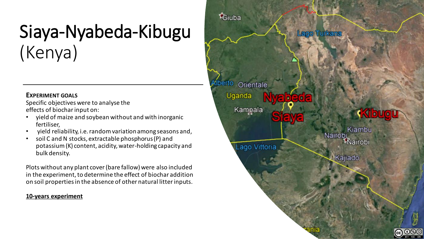# Siaya-Nyabeda-Kibugu (Kenya)

#### **EXPERIMENT GOALS**

Specific objectives were to analyse the effects of biochar input on:

- yield of maize and soybean without and with inorganic fertiliser,
- yield reliability, i.e. random variation among seasons and,
- soil C and N stocks, extractable phosphorus (P) and potassium (K) content, acidity, water-holding capacity and bulk density.

Plots without any plant cover (bare fallow) were also included in the experiment, to determine the effect of biochar addition on soil properties in the absence of other natural litter inputs.

#### **10-years experiment**

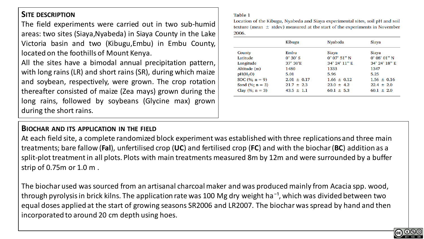# **SITE DESCRIPTION**

The field experiments were carried out in two sub-humid areas: two sites (Siaya,Nyabeda) in Siaya County in the Lake Victoria basin and two (Kibugu,Embu) in Embu County, located on the foothills of Mount Kenya.

All the sites have a bimodal annual precipitation pattern, with long rains (LR) and short rains (SR), during which maize and soybean, respectively, were grown. The crop rotation thereafter consisted of maize (Zea mays) grown during the long rains, followed by soybeans (Glycine max) grown during the short rains.

#### Table 1

Location of the Kibugu, Nyabeda and Siaya experimental sites, soil pH and soil texture (mean  $\pm$  stdev) measured at the start of the experiments in November 2006.

|                      | Kibugu           | Nyabeda               | Siaya                    |
|----------------------|------------------|-----------------------|--------------------------|
| County               | Embu             | Siaya                 | Siaya                    |
| Latitude             | $0^\circ 30' S$  | $0^{\circ}$ 07' 51" N | $0^{\circ}$ 08' $01''$ N |
| Longitude            | $37^\circ 30'$ E | 34° 24' 11" E         | $34^{\circ}$ 24' $18"$ E |
| Altitude (m)         | 1480             | 1333                  | 1347                     |
| pH(H <sub>2</sub> O) | 5.01             | 5.96                  | 5.25                     |
| SOC $(\%; n = 9)$    | $2.01 \pm 0.17$  | $1.66 \pm 0.12$       | $1.56 \pm 0.16$          |
| Sand $(\%; n = 3)$   | $21.7 \pm 2.3$   | $23.0 \pm 4.2$        | $22.4 \pm 2.0$           |
| Clay $(\%; n = 3)$   | $43.5 \pm 1.1$   | $60.1 \pm 5.3$        | $60.1 \pm 2.0$           |

## **BIOCHAR AND ITS APPLICATION IN THE FIELD**

At each field site, a complete randomized block experiment was established with three replications and three main treatments; bare fallow (**Fal**), unfertilised crop (**UC**) and fertilised crop (**FC**) and with the biochar (**BC**) addition as a split-plot treatment in all plots. Plots with main treatments measured 8m by 12m and were surrounded by a buffer strip of 0.75m or 1.0 m .

The biochar used was sourced from an artisanal charcoal maker and was produced mainly from Acacia spp. wood, through pyrolysis in brick kilns. The application rate was 100 Mg dry weight ha<sup>-1</sup>, which was divided between two equal doses applied at the start of growing seasons SR2006 and LR2007. The biochar was spread by hand and then incorporated to around 20 cm depth using hoes.

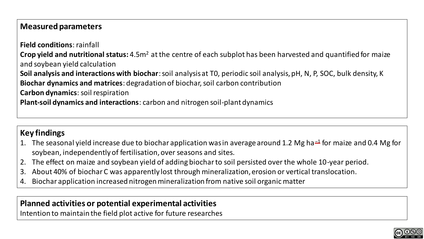# **Measured parameters**

**Field conditions**: rainfall **Crop yield and nutritional status:** 4.5m<sup>2</sup> at the centre of each subplot has been harvested and quantified for maize and soybean yield calculation **Soil analysis and interactions with biochar**: soil analysis at T0, periodic soil analysis, pH, N, P, SOC, bulk density, K **Biochar dynamics and matrices**: degradation of biochar, soil carbon contribution **Carbon dynamics**: soil respiration **Plant-soil dynamics and interactions**: carbon and nitrogen soil-plant dynamics

# **Key findings**

- 1. The seasonal yield increase due to biochar application was in average around 1.2 Mg ha<sup>{-1}</sup> for maize and 0.4 Mg for soybean, independently of fertilisation, over seasons and sites.
- 2. The effect on maize and soybean yield of adding biochar to soil persisted over the whole 10-year period.
- 3. About 40% of biochar C was apparently lost through mineralization, erosion or vertical translocation.
- 4. Biochar application increased nitrogen mineralization from native soil organic matter

# **Planned activities or potential experimental activities**

Intention to maintain the field plot active for future researches